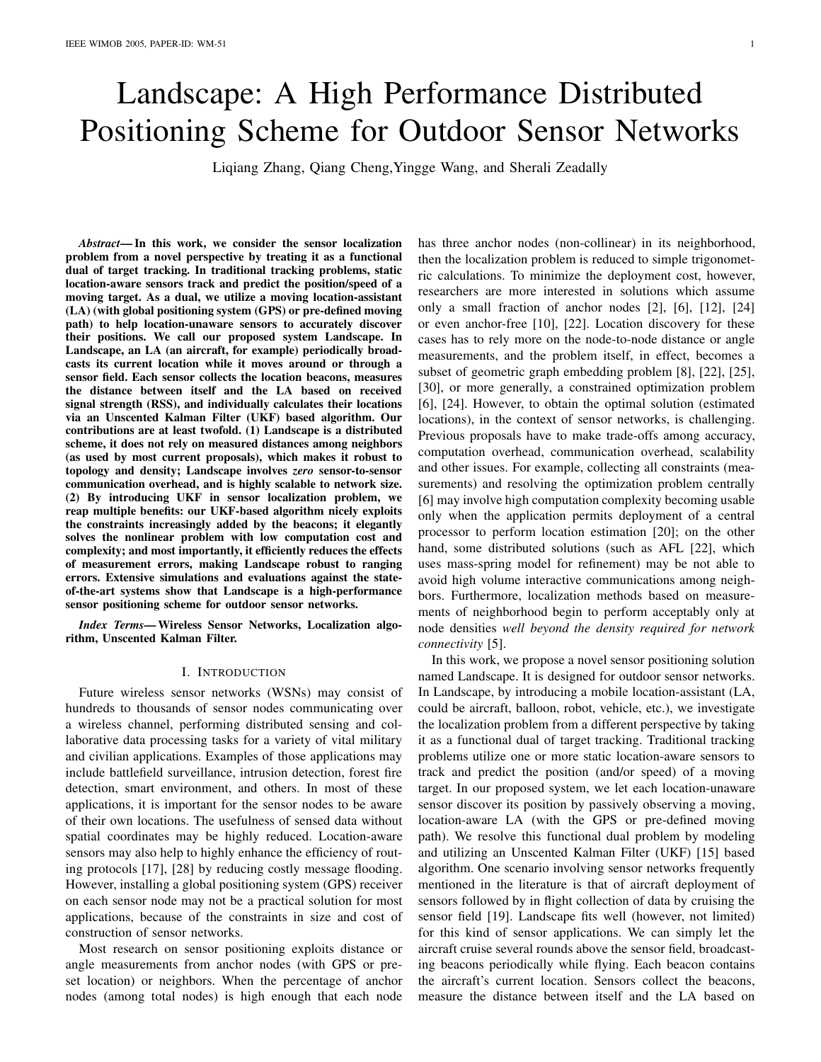# Landscape: A High Performance Distributed Positioning Scheme for Outdoor Sensor Networks

Liqiang Zhang, Qiang Cheng,Yingge Wang, and Sherali Zeadally

*Abstract***— In this work, we consider the sensor localization problem from a novel perspective by treating it as a functional dual of target tracking. In traditional tracking problems, static location-aware sensors track and predict the position/speed of a moving target. As a dual, we utilize a moving location-assistant (LA) (with global positioning system (GPS) or pre-defined moving path) to help location-unaware sensors to accurately discover their positions. We call our proposed system Landscape. In Landscape, an LA (an aircraft, for example) periodically broadcasts its current location while it moves around or through a sensor field. Each sensor collects the location beacons, measures the distance between itself and the LA based on received signal strength (RSS), and individually calculates their locations via an Unscented Kalman Filter (UKF) based algorithm. Our contributions are at least twofold. (1) Landscape is a distributed scheme, it does not rely on measured distances among neighbors (as used by most current proposals), which makes it robust to topology and density; Landscape involves** *zero* **sensor-to-sensor communication overhead, and is highly scalable to network size. (2) By introducing UKF in sensor localization problem, we reap multiple benefits: our UKF-based algorithm nicely exploits the constraints increasingly added by the beacons; it elegantly solves the nonlinear problem with low computation cost and complexity; and most importantly, it efficiently reduces the effects of measurement errors, making Landscape robust to ranging errors. Extensive simulations and evaluations against the stateof-the-art systems show that Landscape is a high-performance sensor positioning scheme for outdoor sensor networks.**

*Index Terms***— Wireless Sensor Networks, Localization algorithm, Unscented Kalman Filter.**

## I. INTRODUCTION

Future wireless sensor networks (WSNs) may consist of hundreds to thousands of sensor nodes communicating over a wireless channel, performing distributed sensing and collaborative data processing tasks for a variety of vital military and civilian applications. Examples of those applications may include battlefield surveillance, intrusion detection, forest fire detection, smart environment, and others. In most of these applications, it is important for the sensor nodes to be aware of their own locations. The usefulness of sensed data without spatial coordinates may be highly reduced. Location-aware sensors may also help to highly enhance the efficiency of routing protocols [17], [28] by reducing costly message flooding. However, installing a global positioning system (GPS) receiver on each sensor node may not be a practical solution for most applications, because of the constraints in size and cost of construction of sensor networks.

Most research on sensor positioning exploits distance or angle measurements from anchor nodes (with GPS or preset location) or neighbors. When the percentage of anchor nodes (among total nodes) is high enough that each node has three anchor nodes (non-collinear) in its neighborhood, then the localization problem is reduced to simple trigonometric calculations. To minimize the deployment cost, however, researchers are more interested in solutions which assume only a small fraction of anchor nodes [2], [6], [12], [24] or even anchor-free [10], [22]. Location discovery for these cases has to rely more on the node-to-node distance or angle measurements, and the problem itself, in effect, becomes a subset of geometric graph embedding problem [8], [22], [25], [30], or more generally, a constrained optimization problem [6], [24]. However, to obtain the optimal solution (estimated locations), in the context of sensor networks, is challenging. Previous proposals have to make trade-offs among accuracy, computation overhead, communication overhead, scalability and other issues. For example, collecting all constraints (measurements) and resolving the optimization problem centrally [6] may involve high computation complexity becoming usable only when the application permits deployment of a central processor to perform location estimation [20]; on the other hand, some distributed solutions (such as AFL [22], which uses mass-spring model for refinement) may be not able to avoid high volume interactive communications among neighbors. Furthermore, localization methods based on measurements of neighborhood begin to perform acceptably only at node densities *well beyond the density required for network connectivity* [5].

In this work, we propose a novel sensor positioning solution named Landscape. It is designed for outdoor sensor networks. In Landscape, by introducing a mobile location-assistant (LA, could be aircraft, balloon, robot, vehicle, etc.), we investigate the localization problem from a different perspective by taking it as a functional dual of target tracking. Traditional tracking problems utilize one or more static location-aware sensors to track and predict the position (and/or speed) of a moving target. In our proposed system, we let each location-unaware sensor discover its position by passively observing a moving, location-aware LA (with the GPS or pre-defined moving path). We resolve this functional dual problem by modeling and utilizing an Unscented Kalman Filter (UKF) [15] based algorithm. One scenario involving sensor networks frequently mentioned in the literature is that of aircraft deployment of sensors followed by in flight collection of data by cruising the sensor field [19]. Landscape fits well (however, not limited) for this kind of sensor applications. We can simply let the aircraft cruise several rounds above the sensor field, broadcasting beacons periodically while flying. Each beacon contains the aircraft's current location. Sensors collect the beacons, measure the distance between itself and the LA based on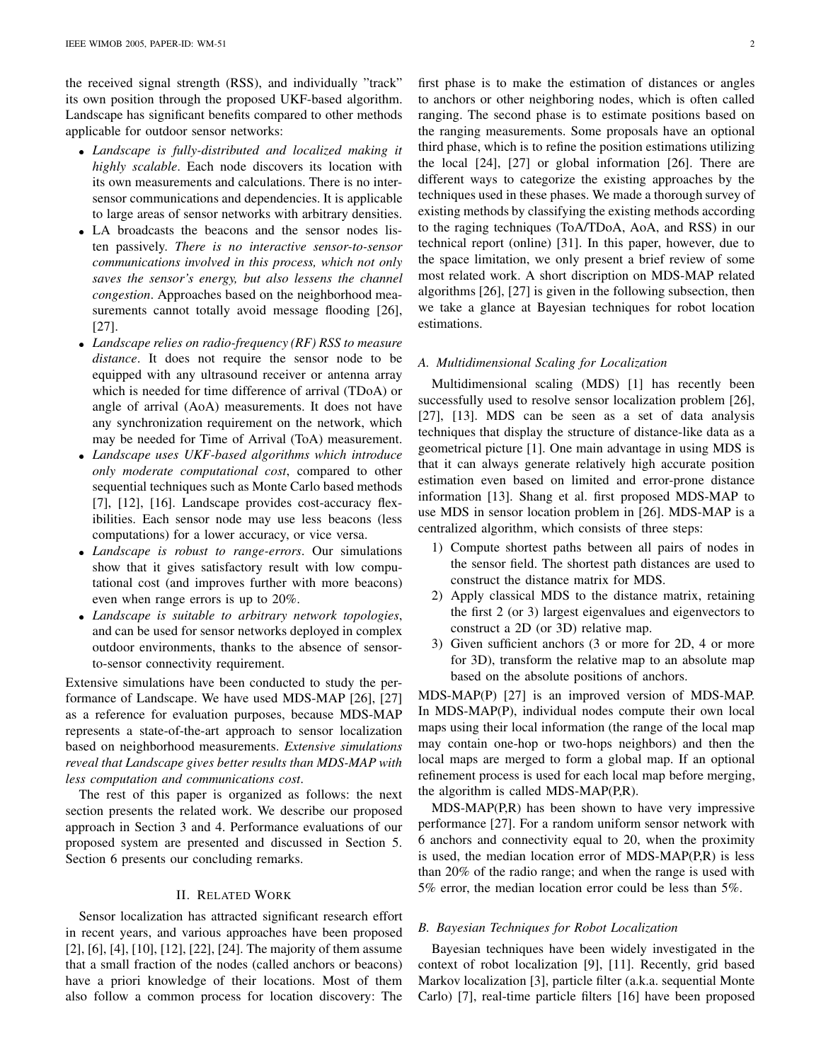the received signal strength (RSS), and individually "track" its own position through the proposed UKF-based algorithm. Landscape has significant benefits compared to other methods applicable for outdoor sensor networks:

- *Landscape is fully-distributed and localized making it highly scalable*. Each node discovers its location with its own measurements and calculations. There is no intersensor communications and dependencies. It is applicable to large areas of sensor networks with arbitrary densities.
- LA broadcasts the beacons and the sensor nodes listen passively. *There is no interactive sensor-to-sensor communications involved in this process, which not only saves the sensor's energy, but also lessens the channel congestion*. Approaches based on the neighborhood measurements cannot totally avoid message flooding [26], [27].
- *Landscape relies on radio-frequency (RF) RSS to measure distance*. It does not require the sensor node to be equipped with any ultrasound receiver or antenna array which is needed for time difference of arrival (TDoA) or angle of arrival (AoA) measurements. It does not have any synchronization requirement on the network, which may be needed for Time of Arrival (ToA) measurement.
- *Landscape uses UKF-based algorithms which introduce only moderate computational cost*, compared to other sequential techniques such as Monte Carlo based methods [7], [12], [16]. Landscape provides cost-accuracy flexibilities. Each sensor node may use less beacons (less computations) for a lower accuracy, or vice versa.
- *Landscape is robust to range-errors*. Our simulations show that it gives satisfactory result with low computational cost (and improves further with more beacons) even when range errors is up to 20%.
- *Landscape is suitable to arbitrary network topologies*, and can be used for sensor networks deployed in complex outdoor environments, thanks to the absence of sensorto-sensor connectivity requirement.

Extensive simulations have been conducted to study the performance of Landscape. We have used MDS-MAP [26], [27] as a reference for evaluation purposes, because MDS-MAP represents a state-of-the-art approach to sensor localization based on neighborhood measurements. *Extensive simulations reveal that Landscape gives better results than MDS-MAP with less computation and communications cost*.

The rest of this paper is organized as follows: the next section presents the related work. We describe our proposed approach in Section 3 and 4. Performance evaluations of our proposed system are presented and discussed in Section 5. Section 6 presents our concluding remarks.

#### II. RELATED WORK

Sensor localization has attracted significant research effort in recent years, and various approaches have been proposed [2], [6], [4], [10], [12], [22], [24]. The majority of them assume that a small fraction of the nodes (called anchors or beacons) have a priori knowledge of their locations. Most of them also follow a common process for location discovery: The

first phase is to make the estimation of distances or angles to anchors or other neighboring nodes, which is often called ranging. The second phase is to estimate positions based on the ranging measurements. Some proposals have an optional third phase, which is to refine the position estimations utilizing the local [24], [27] or global information [26]. There are different ways to categorize the existing approaches by the techniques used in these phases. We made a thorough survey of existing methods by classifying the existing methods according to the raging techniques (ToA/TDoA, AoA, and RSS) in our technical report (online) [31]. In this paper, however, due to the space limitation, we only present a brief review of some most related work. A short discription on MDS-MAP related algorithms [26], [27] is given in the following subsection, then we take a glance at Bayesian techniques for robot location estimations.

# *A. Multidimensional Scaling for Localization*

Multidimensional scaling (MDS) [1] has recently been successfully used to resolve sensor localization problem [26], [27], [13]. MDS can be seen as a set of data analysis techniques that display the structure of distance-like data as a geometrical picture [1]. One main advantage in using MDS is that it can always generate relatively high accurate position estimation even based on limited and error-prone distance information [13]. Shang et al. first proposed MDS-MAP to use MDS in sensor location problem in [26]. MDS-MAP is a centralized algorithm, which consists of three steps:

- 1) Compute shortest paths between all pairs of nodes in the sensor field. The shortest path distances are used to construct the distance matrix for MDS.
- 2) Apply classical MDS to the distance matrix, retaining the first 2 (or 3) largest eigenvalues and eigenvectors to construct a 2D (or 3D) relative map.
- 3) Given sufficient anchors (3 or more for 2D, 4 or more for 3D), transform the relative map to an absolute map based on the absolute positions of anchors.

MDS-MAP(P) [27] is an improved version of MDS-MAP. In MDS-MAP(P), individual nodes compute their own local maps using their local information (the range of the local map may contain one-hop or two-hops neighbors) and then the local maps are merged to form a global map. If an optional refinement process is used for each local map before merging, the algorithm is called MDS-MAP(P,R).

MDS-MAP(P,R) has been shown to have very impressive performance [27]. For a random uniform sensor network with 6 anchors and connectivity equal to 20, when the proximity is used, the median location error of MDS-MAP(P,R) is less than 20% of the radio range; and when the range is used with 5% error, the median location error could be less than 5%.

#### *B. Bayesian Techniques for Robot Localization*

Bayesian techniques have been widely investigated in the context of robot localization [9], [11]. Recently, grid based Markov localization [3], particle filter (a.k.a. sequential Monte Carlo) [7], real-time particle filters [16] have been proposed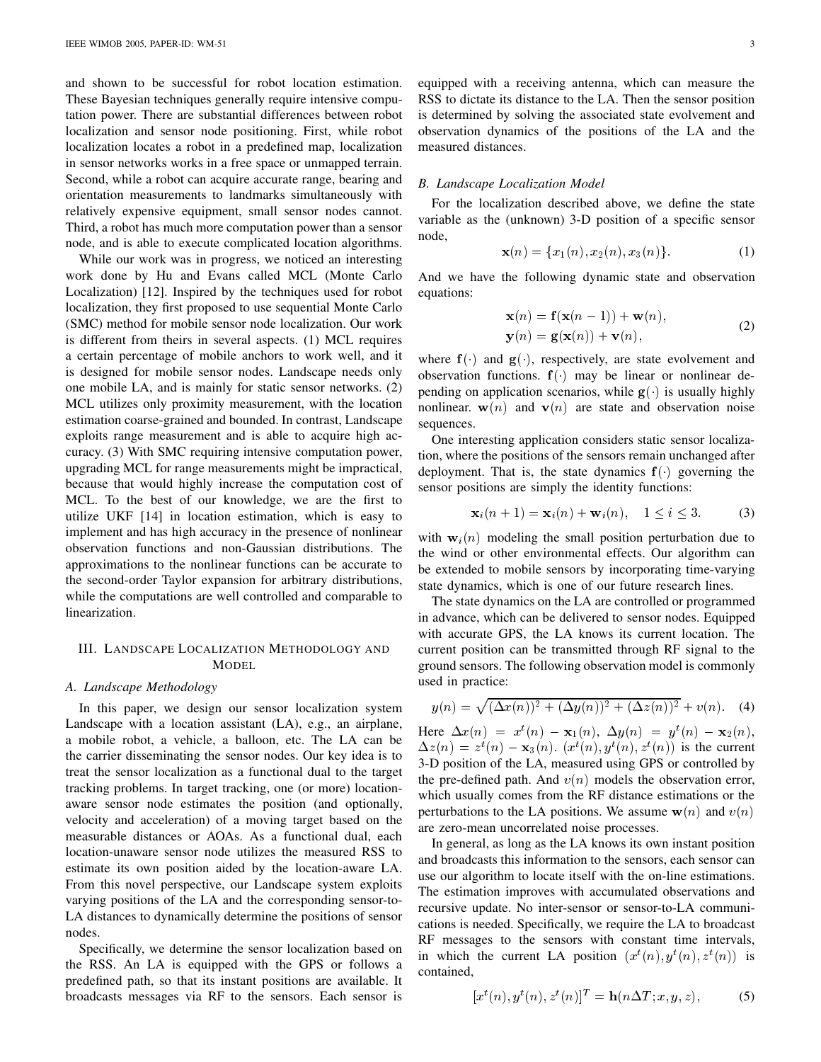and shown to be successful for robot location estimation. These Bayesian techniques generally require intensive computation power. There are substantial differences between robot localization and sensor node positioning. First, while robot localization locates a robot in a predefined map, localization in sensor networks works in a free space or unmapped terrain. Second, while a robot can acquire accurate range, bearing and orientation measurements to landmarks simultaneously with relatively expensive equipment, small sensor nodes cannot. Third, a robot has much more computation power than a sensor node, and is able to execute complicated location algorithms.

While our work was in progress, we noticed an interesting work done by Hu and Evans called MCL (Monte Carlo Localization) [12]. Inspired by the techniques used for robot localization, they first proposed to use sequential Monte Carlo (SMC) method for mobile sensor node localization. Our work is different from theirs in several aspects. (1) MCL requires a certain percentage of mobile anchors to work well, and it is designed for mobile sensor nodes. Landscape needs only one mobile LA, and is mainly for static sensor networks. (2) MCL utilizes only proximity measurement, with the location estimation coarse-grained and bounded. In contrast, Landscape exploits range measurement and is able to acquire high accuracy. (3) With SMC requiring intensive computation power, upgrading MCL for range measurements might be impractical, because that would highly increase the computation cost of MCL. To the best of our knowledge, we are the first to utilize UKF [14] in location estimation, which is easy to implement and has high accuracy in the presence of nonlinear observation functions and non-Gaussian distributions. The approximations to the nonlinear functions can be accurate to the second-order Taylor expansion for arbitrary distributions, while the computations are well controlled and comparable to linearization.

# III. LANDSCAPE LOCALIZATION METHODOLOGY AND MODEL

## *A. Landscape Methodology*

In this paper, we design our sensor localization system Landscape with a location assistant (LA), e.g., an airplane, a mobile robot, a vehicle, a balloon, etc. The LA can be the carrier disseminating the sensor nodes. Our key idea is to treat the sensor localization as a functional dual to the target tracking problems. In target tracking, one (or more) locationaware sensor node estimates the position (and optionally, velocity and acceleration) of a moving target based on the measurable distances or AOAs. As a functional dual, each location-unaware sensor node utilizes the measured RSS to estimate its own position aided by the location-aware LA. From this novel perspective, our Landscape system exploits varying positions of the LA and the corresponding sensor-to-LA distances to dynamically determine the positions of sensor nodes.

Specifically, we determine the sensor localization based on the RSS. An LA is equipped with the GPS or follows a predefined path, so that its instant positions are available. It broadcasts messages via RF to the sensors. Each sensor is equipped with a receiving antenna, which can measure the RSS to dictate its distance to the LA. Then the sensor position is determined by solving the associated state evolvement and observation dynamics of the positions of the LA and the measured distances.

## *B. Landscape Localization Model*

For the localization described above, we define the state variable as the (unknown) 3-D position of a specific sensor node,

$$
\mathbf{x}(n) = \{x_1(n), x_2(n), x_3(n)\}.
$$
 (1)

And we have the following dynamic state and observation equations:

$$
\mathbf{x}(n) = \mathbf{f}(\mathbf{x}(n-1)) + \mathbf{w}(n),
$$
  
\n
$$
\mathbf{y}(n) = \mathbf{g}(\mathbf{x}(n)) + \mathbf{v}(n),
$$
\n(2)

where  $f()$  and  $g()$ , respectively, are state evolvement and observation functions.  $f()$  may be linear or nonlinear depending on application scenarios, while  $g()$  is usually highly nonlinear.  $w(n)$  and  $v(n)$  are state and observation noise sequences.

One interesting application considers static sensor localization, where the positions of the sensors remain unchanged after deployment. That is, the state dynamics  $f()$  governing the sensor positions are simply the identity functions:

$$
\mathbf{x}_i(n+1) = \mathbf{x}_i(n) + \mathbf{w}_i(n), \quad 1 \le i \le 3. \tag{3}
$$

with  $w_i(n)$  modeling the small position perturbation due to the wind or other environmental effects. Our algorithm can be extended to mobile sensors by incorporating time-varying state dynamics, which is one of our future research lines.

The state dynamics on the LA are controlled or programmed in advance, which can be delivered to sensor nodes. Equipped with accurate GPS, the LA knows its current location. The current position can be transmitted through RF signal to the ground sensors. The following observation model is commonly used in practice:

$$
y(n) = \sqrt{(\Delta x(n))^{2} + (\Delta y(n))^{2} + (\Delta z(n))^{2} + v(n)}.
$$
 (4)

Here  $\Delta x(n) = x^t(n) - \mathbf{x}_1(n), \Delta y(n) = y^t(n) - \mathbf{x}_2(n),$  $\Delta z(n) = z^t(n) - \mathbf{x}_3(n)$ .  $(x^t(n), y^t(n), z^t(n))$  is the current 3-D position of the LA, measured using GPS or controlled by the pre-defined path. And  $v(n)$  models the observation error, which usually comes from the RF distance estimations or the perturbations to the LA positions. We assume  $w(n)$  and  $v(n)$ are zero-mean uncorrelated noise processes.

In general, as long as the LA knows its own instant position and broadcasts this information to the sensors, each sensor can use our algorithm to locate itself with the on-line estimations. The estimation improves with accumulated observations and recursive update. No inter-sensor or sensor-to-LA communications is needed. Specifically, we require the LA to broadcast RF messages to the sensors with constant time intervals, in which the current LA position  $(x^t(n), y^t(n), z^t(n))$  is contained,

$$
[x^t(n), y^t(n), z^t(n)]^T = \mathbf{h}(n\Delta T; x, y, z), \tag{5}
$$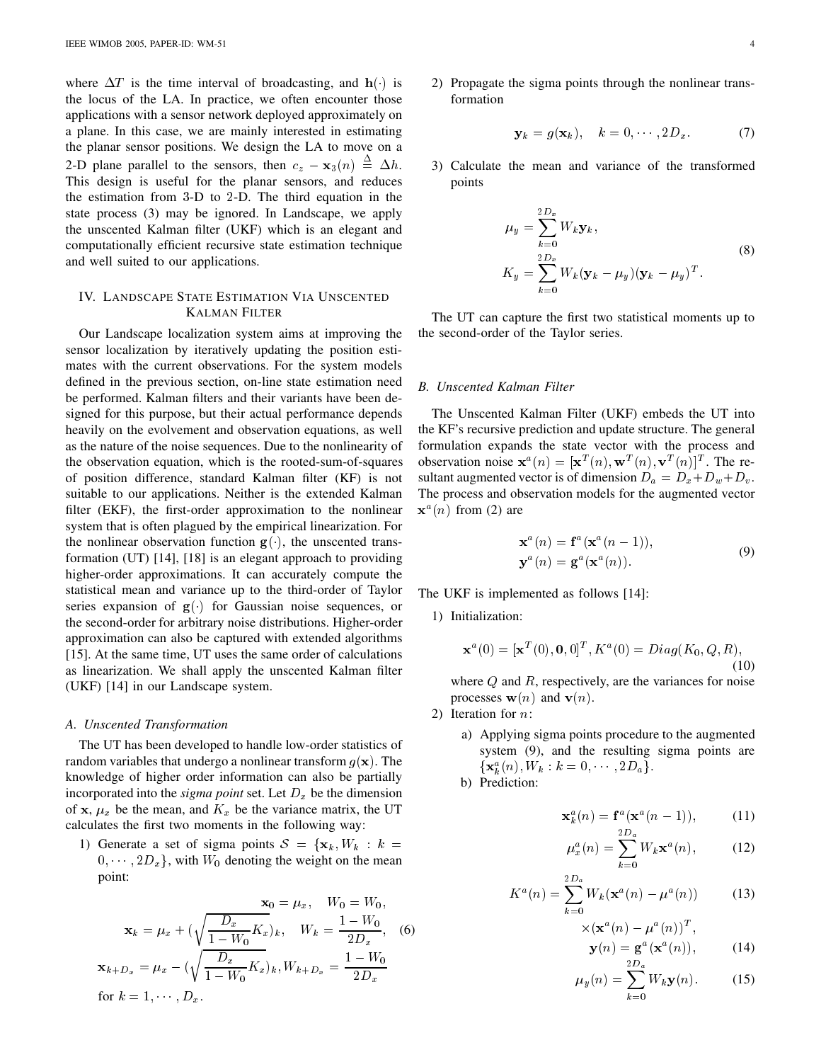where  $\Delta T$  is the time interval of broadcasting, and  $\mathbf{h}(\cdot)$  is the locus of the LA. In practice, we often encounter those applications with a sensor network deployed approximately on a plane. In this case, we are mainly interested in estimating the planar sensor positions. We design the LA to move on a 2-D plane parallel to the sensors, then  $c_z - \mathbf{x}_3(n) \stackrel{\triangle}{=} \Delta h$ . 3) This design is useful for the planar sensors, and reduces the estimation from  $3-D$  to  $2-D$ . The third equation in the state process (3) may be ignored. In Landscape, we apply the unscented Kalman filter (UKF) which is an elegant and computationally efficient recursive state estimation technique and well suited to our applications.

# IV. LANDSCAPE STATE ESTIMATION VIA UNSCENTED KALMAN FILTER

Our Landscape localization system aims at improving the sensor localization by iteratively updating the position estimates with the current observations. For the system models defined in the previous section, on-line state estimation need be performed. Kalman filters and their variants have been designed for this purpose, but their actual performance depends heavily on the evolvement and observation equations, as well as the nature of the noise sequences. Due to the nonlinearity of the observation equation, which is the rooted-sum-of-squares of position difference, standard Kalman filter (KF) is not suitable to our applications. Neither is the extended Kalman filter (EKF), the first-order approximation to the nonlinear system that is often plagued by the empirical linearization. For the nonlinear observation function  $g(.)$ , the unscented transformation (UT) [14], [18] is an elegant approach to providing higher-order approximations. It can accurately compute the statistical mean and variance up to the third-order of Taylor series expansion of  $g( )$  for Gaussian noise sequences, or the second-order for arbitrary noise distributions. Higher-order approximation can also be captured with extended algorithms [15]. At the same time, UT uses the same order of calculations as linearization. We shall apply the unscented Kalman filter (UKF) [14] in our Landscape system.

#### *A. Unscented Transformation*

The UT has been developed to handle low-order statistics of random variables that undergo a nonlinear transform  $q(\mathbf{x})$ . The knowledge of higher order information can also be partially incorporated into the  $sigma$  point set. Let  $D_x$  be the dimension of x,  $\mu_x$  be the mean, and  $K_x$  be the variance matrix, the UT calculates the first two moments in the following way:

1) Generate a set of sigma points  $S = {\mathbf{x}_k, W_k : k =$  $(0, \dots, 2D_x)$ , with  $W_0$  denoting the weight on the mean point:

$$
\mathbf{x}_{0} = \mu_{x}, \quad W_{0} = W_{0},
$$
\n
$$
\mathbf{x}_{k} = \mu_{x} + \left(\sqrt{\frac{D_{x}}{1 - W_{0}} K_{x}}\right)_{k}, \quad W_{k} = \frac{1 - W_{0}}{2D_{x}}, \quad \text{(6)}
$$
\n
$$
\mathbf{x}_{k+D_{x}} = \mu_{x} - \left(\sqrt{\frac{D_{x}}{1 - W_{0}} K_{x}}\right)_{k}, W_{k+D_{x}} = \frac{1 - W_{0}}{2D_{x}}
$$
\nfor  $k = 1, \dots, D_{x}$ .

2) Propagate the sigma points through the nonlinear transformation

$$
\mathbf{y}_k = g(\mathbf{x}_k), \quad k = 0, \cdots, 2D_x. \tag{7}
$$

3) Calculate the mean and variance of the transformed points

$$
\mu_y = \sum_{k=0}^{2D_x} W_k \mathbf{y}_k,
$$
  
\n
$$
K_y = \sum_{k=0}^{2D_x} W_k (\mathbf{y}_k - \mu_y) (\mathbf{y}_k - \mu_y)^T.
$$
\n(8)

The UT can capture the first two statistical moments up to the second-order of the Taylor series.

#### *B. Unscented Kalman Filter*

The Unscented Kalman Filter (UKF) embeds the UT into the KF's recursive prediction and update structure. The general formulation expands the state vector with the process and observation noise  $\mathbf{x}^{a}(n) = [\mathbf{x}^{T}(n), \mathbf{w}^{T}(n), \mathbf{v}^{T}(n)]^{T}$ . The resultant augmented vector is of dimension  $D_a = D_x + D_w + D_v$ . The process and observation models for the augmented vector  $\mathbf{x}^a(n)$  from (2) are

$$
\mathbf{x}^{a}(n) = \mathbf{f}^{a}(\mathbf{x}^{a}(n-1)),
$$
  
\n
$$
\mathbf{y}^{a}(n) = \mathbf{g}^{a}(\mathbf{x}^{a}(n)).
$$
\n(9)

The UKF is implemented as follows [14]:

1) Initialization:

$$
\mathbf{x}^{a}(0) = [\mathbf{x}^{T}(0), \mathbf{0}, 0]^{T}, K^{a}(0) = Diag(K_{0}, Q, R),
$$
\n(10)

where  $Q$  and  $R$ , respectively, are the variances for noise processes  $\mathbf{w}(n)$  and  $\mathbf{v}(n)$ .

- 2) Iteration for  $n$ :
	- a) Applying sigma points procedure to the augmented system (9), and the resulting sigma points are  $\{ {\bf x}_k^a(n), W_k : k = 0, \cdots, 2{D_a} \}.$
	- b) Prediction:

$$
\mathbf{x}_{k}^{a}(n) = \mathbf{f}^{a}(\mathbf{x}^{a}(n-1)), \qquad (11)
$$

$$
\mu_x^a(n) = \sum_{k=0}^{n} W_k \mathbf{x}^a(n),\tag{12}
$$

$$
K^{a}(n) = \sum_{k=0}^{2D_{a}} W_{k}(\mathbf{x}^{a}(n) - \mu^{a}(n))
$$
 (13)

$$
\times (\mathbf{x}^{a}(n) - \mu^{a}(n))^{T},
$$
  

$$
\mathbf{y}(n) = \mathbf{g}^{a}(\mathbf{x}^{a}(n)),
$$
 (14)

$$
\mu_y(n) = \sum_{k=0}^{2D_a} W_k \mathbf{y}(n).
$$
 (15)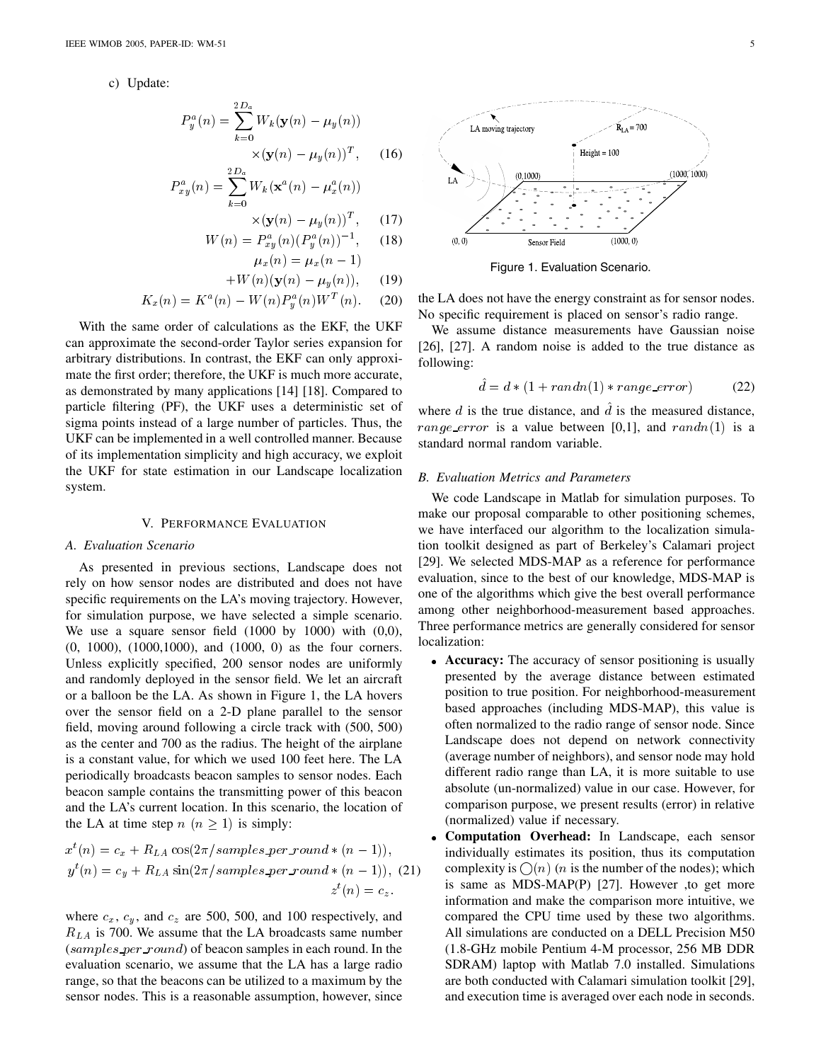c) Update:

$$
P_y^a(n) = \sum_{k=0}^{2D_a} W_k(\mathbf{y}(n) - \mu_y(n))
$$

$$
\times (\mathbf{y}(n) - \mu_y(n))^T, \quad (16)
$$

-

$$
P_{xy}^a(n) = \sum_{k=0}^{2D_a} W_k(\mathbf{x}^a(n) - \mu_x^a(n))
$$

$$
\times (\mathbf{y}(n) - \mu_y(n))^T, \qquad (17)
$$

-

 $-1$ 

 $\sim$  1

$$
W(n) = P_{xy}^{a}(n) (P_y^{a}(n))^{-1}, \quad (18)
$$
  

$$
\mu(n) = \mu(n-1)
$$

 $\sim x + y - \sim x + y$ 

$$
W(n)(\mathbf{y}(n) - \mu_y(n)), \qquad (19)
$$

$$
K_x(n) = K^a(n) - W(n)P_u^a(n)W^T(n).
$$
 (20)

-

With the same order of calculations as the EKF, the UKF can approximate the second-order Taylor series expansion for arbitrary distributions. In contrast, the EKF can only approximate the first order; therefore, the UKF is much more accurate, as demonstrated by many applications [14] [18]. Compared to particle filtering (PF), the UKF uses a deterministic set of sigma points instead of a large number of particles. Thus, the UKF can be implemented in a well controlled manner. Because of its implementation simplicity and high accuracy, we exploit the UKF for state estimation in our Landscape localization system.

## V. PERFORMANCE EVALUATION

# *A. Evaluation Scenario*

As presented in previous sections, Landscape does not rely on how sensor nodes are distributed and does not have specific requirements on the LA's moving trajectory. However, for simulation purpose, we have selected a simple scenario. We use a square sensor field  $(1000 \text{ by } 1000)$  with  $(0,0)$ , (0, 1000), (1000,1000), and (1000, 0) as the four corners. Unless explicitly specified, 200 sensor nodes are uniformly and randomly deployed in the sensor field. We let an aircraft or a balloon be the LA. As shown in Figure 1, the LA hovers over the sensor field on a 2-D plane parallel to the sensor field, moving around following a circle track with (500, 500) as the center and 700 as the radius. The height of the airplane is a constant value, for which we used 100 feet here. The LA periodically broadcasts beacon samples to sensor nodes. Each beacon sample contains the transmitting power of this beacon and the LA's current location. In this scenario, the location of the LA at time step  $n (n > 1)$  is simply:

$$
x^{t}(n) = c_x + R_{LA} \cos(2\pi/samples\_per\_round * (n-1)),
$$
  
\n
$$
y^{t}(n) = c_y + R_{LA} \sin(2\pi/samples\_per\_round * (n-1)),
$$
 (21)  
\n
$$
z^{t}(n) = c_z.
$$

where  $c_x$ ,  $c_y$ , and  $c_z$  are 500, 500, and 100 respectively, and  $R_{LA}$  is 700. We assume that the LA broadcasts same number  $(samples per_{round})$  of beacon samples in each round. In the evaluation scenario, we assume that the LA has a large radio range, so that the beacons can be utilized to a maximum by the sensor nodes. This is a reasonable assumption, however, since



Figure 1. Evaluation Scenario.

the LA does not have the energy constraint as for sensor nodes. No specific requirement is placed on sensor's radio range.

We assume distance measurements have Gaussian noise [26], [27]. A random noise is added to the true distance as following:

$$
\hat{d} = d * (1 + randn(1) * range_error)
$$
 (22)

where  $d$  is the true distance, and  $\tilde{d}$  is the measured distance, range error is a value between [0,1], and  $randn(1)$  is a standard normal random variable.

# *B. Evaluation Metrics and Parameters*

We code Landscape in Matlab for simulation purposes. To make our proposal comparable to other positioning schemes, we have interfaced our algorithm to the localization simulation toolkit designed as part of Berkeley's Calamari project [29]. We selected MDS-MAP as a reference for performance evaluation, since to the best of our knowledge, MDS-MAP is one of the algorithms which give the best overall performance among other neighborhood-measurement based approaches. Three performance metrics are generally considered for sensor localization:

- **Accuracy:** The accuracy of sensor positioning is usually presented by the average distance between estimated position to true position. For neighborhood-measurement based approaches (including MDS-MAP), this value is often normalized to the radio range of sensor node. Since Landscape does not depend on network connectivity (average number of neighbors), and sensor node may hold different radio range than LA, it is more suitable to use absolute (un-normalized) value in our case. However, for comparison purpose, we present results (error) in relative (normalized) value if necessary.
- $\overline{z}$  information and make the comparison more intuitive, we **Computation Overhead:** In Landscape, each sensor individually estimates its position, thus its computation complexity is  $\bigcap (n)$  (*n* is the number of the nodes); which is same as MDS-MAP(P) [27]. However ,to get more compared the CPU time used by these two algorithms. All simulations are conducted on a DELL Precision M50 (1.8-GHz mobile Pentium 4-M processor, 256 MB DDR SDRAM) laptop with Matlab 7.0 installed. Simulations are both conducted with Calamari simulation toolkit [29], and execution time is averaged over each node in seconds.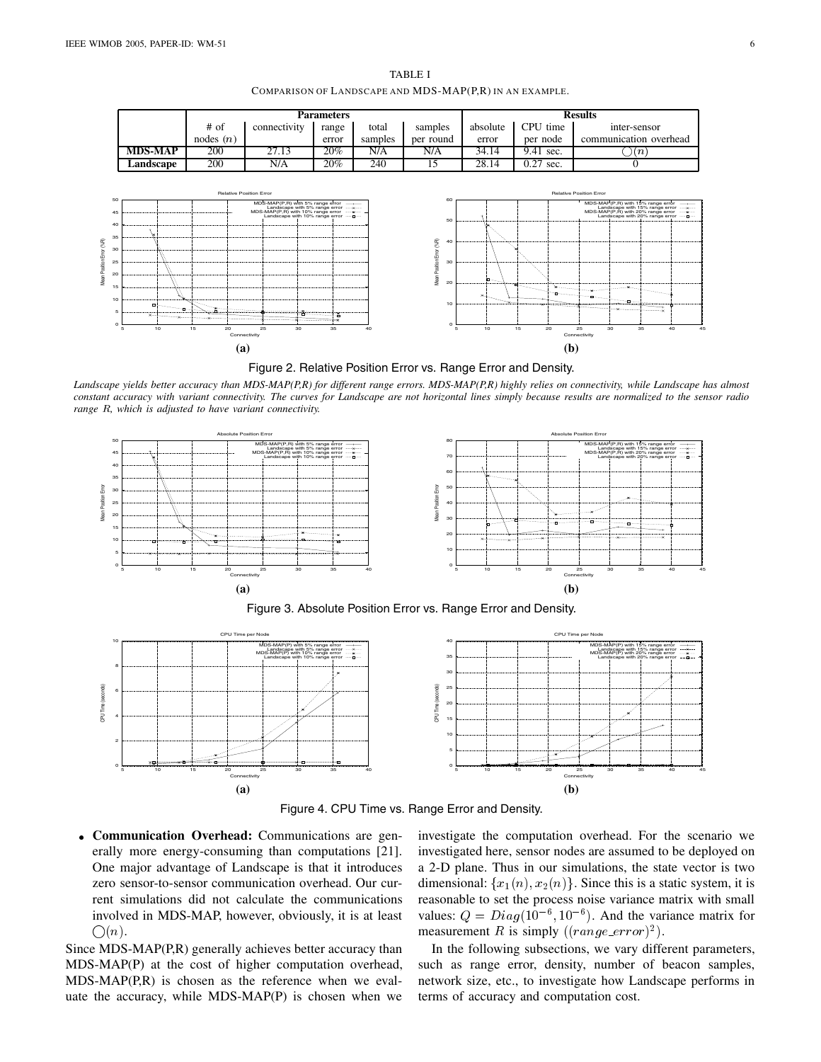

TABLE I COMPARISON OF LANDSCAPE AND MDS-MAP(P,R) IN AN EXAMPLE.



*Landscape yields better accuracy than MDS-MAP(P,R) for different range errors. MDS-MAP(P,R) highly relies on connectivity, while Landscape has almost constant accuracy with variant connectivity. The curves for Landscape are not horizontal lines simply because results are normalized to the sensor radio range R, which is adjusted to have variant connectivity.* 



Figure 3. Absolute Position Error vs. Range Error and Density.



Figure 4. CPU Time vs. Range Error and Density.

 **Communication Overhead:** Communications are generally more energy-consuming than computations [21]. One major advantage of Landscape is that it introduces zero sensor-to-sensor communication overhead. Our current simulations did not calculate the communications involved in MDS-MAP, however, obviously, it is at least  $\bigcirc$  (n).

Since MDS-MAP(P,R) generally achieves better accuracy than MDS-MAP(P) at the cost of higher computation overhead, MDS-MAP(P,R) is chosen as the reference when we evaluate the accuracy, while MDS-MAP(P) is chosen when we

investigate the computation overhead. For the scenario we investigated here, sensor nodes are assumed to be deployed on a 2-D plane. Thus in our simulations, the state vector is two dimensional:  $\{x_1(n), x_2(n)\}\$ . Since this is a static system, it is reasonable to set the process noise variance matrix with small values:  $Q = Diag(10^{-6}, 10^{-6})$ . And the variance matrix for measurement R is simply  $((range\_error)^2)$ .

In the following subsections, we vary different parameters, such as range error, density, number of beacon samples, network size, etc., to investigate how Landscape performs in terms of accuracy and computation cost.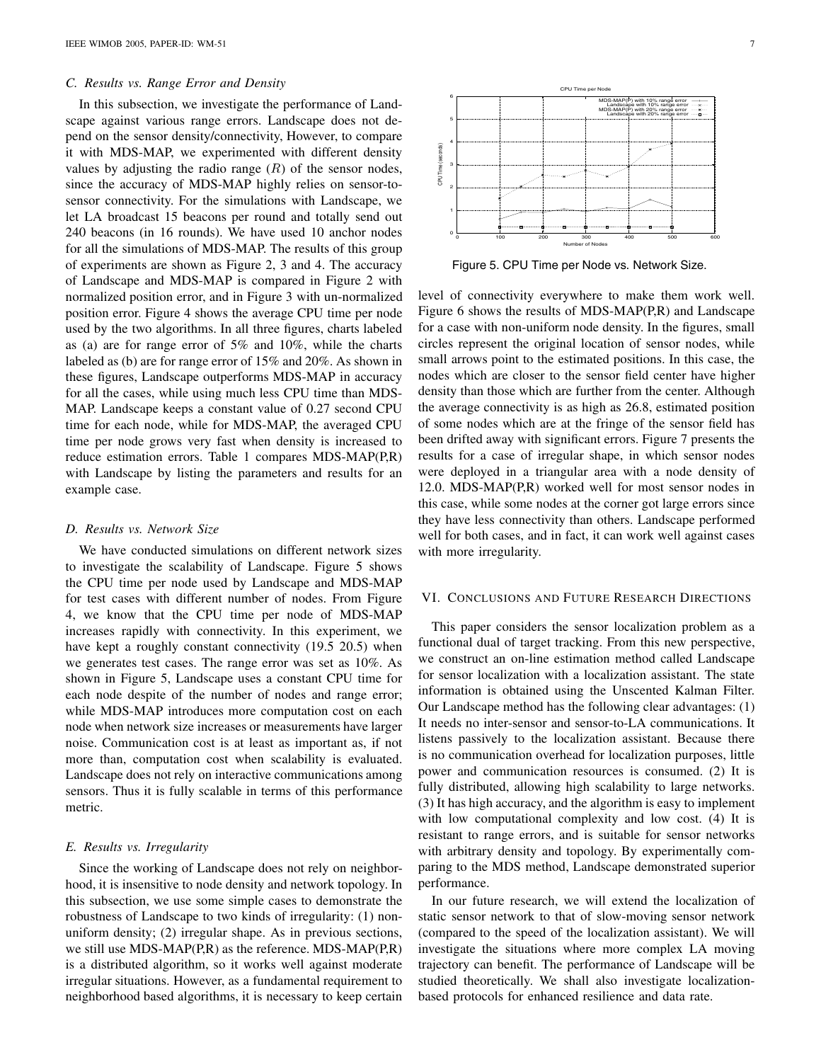#### *C. Results vs. Range Error and Density*

In this subsection, we investigate the performance of Landscape against various range errors. Landscape does not depend on the sensor density/connectivity, However, to compare it with MDS-MAP, we experimented with different density values by adjusting the radio range  $(R)$  of the sensor nodes, since the accuracy of MDS-MAP highly relies on sensor-tosensor connectivity. For the simulations with Landscape, we let LA broadcast 15 beacons per round and totally send out 240 beacons (in 16 rounds). We have used 10 anchor nodes for all the simulations of MDS-MAP. The results of this group of experiments are shown as Figure 2, 3 and 4. The accuracy of Landscape and MDS-MAP is compared in Figure 2 with normalized position error, and in Figure 3 with un-normalized position error. Figure 4 shows the average CPU time per node used by the two algorithms. In all three figures, charts labeled as (a) are for range error of 5% and 10%, while the charts labeled as (b) are for range error of 15% and 20%. As shown in these figures, Landscape outperforms MDS-MAP in accuracy for all the cases, while using much less CPU time than MDS-MAP. Landscape keeps a constant value of 0.27 second CPU time for each node, while for MDS-MAP, the averaged CPU time per node grows very fast when density is increased to reduce estimation errors. Table 1 compares MDS-MAP(P,R) with Landscape by listing the parameters and results for an example case.

#### *D. Results vs. Network Size*

We have conducted simulations on different network sizes to investigate the scalability of Landscape. Figure 5 shows the CPU time per node used by Landscape and MDS-MAP for test cases with different number of nodes. From Figure 4, we know that the CPU time per node of MDS-MAP increases rapidly with connectivity. In this experiment, we have kept a roughly constant connectivity (19.5 20.5) when we generates test cases. The range error was set as 10%. As shown in Figure 5, Landscape uses a constant CPU time for each node despite of the number of nodes and range error; while MDS-MAP introduces more computation cost on each node when network size increases or measurements have larger noise. Communication cost is at least as important as, if not more than, computation cost when scalability is evaluated. Landscape does not rely on interactive communications among sensors. Thus it is fully scalable in terms of this performance metric.

#### *E. Results vs. Irregularity*

Since the working of Landscape does not rely on neighborhood, it is insensitive to node density and network topology. In this subsection, we use some simple cases to demonstrate the robustness of Landscape to two kinds of irregularity: (1) nonuniform density; (2) irregular shape. As in previous sections, we still use MDS-MAP(P,R) as the reference. MDS-MAP(P,R) is a distributed algorithm, so it works well against moderate irregular situations. However, as a fundamental requirement to neighborhood based algorithms, it is necessary to keep certain



Figure 5. CPU Time per Node vs. Network Size.

level of connectivity everywhere to make them work well. Figure 6 shows the results of MDS-MAP(P,R) and Landscape for a case with non-uniform node density. In the figures, small circles represent the original location of sensor nodes, while small arrows point to the estimated positions. In this case, the nodes which are closer to the sensor field center have higher density than those which are further from the center. Although the average connectivity is as high as 26.8, estimated position of some nodes which are at the fringe of the sensor field has been drifted away with significant errors. Figure 7 presents the results for a case of irregular shape, in which sensor nodes were deployed in a triangular area with a node density of 12.0. MDS-MAP(P,R) worked well for most sensor nodes in this case, while some nodes at the corner got large errors since they have less connectivity than others. Landscape performed well for both cases, and in fact, it can work well against cases with more irregularity.

# VI. CONCLUSIONS AND FUTURE RESEARCH DIRECTIONS

This paper considers the sensor localization problem as a functional dual of target tracking. From this new perspective, we construct an on-line estimation method called Landscape for sensor localization with a localization assistant. The state information is obtained using the Unscented Kalman Filter. Our Landscape method has the following clear advantages: (1) It needs no inter-sensor and sensor-to-LA communications. It listens passively to the localization assistant. Because there is no communication overhead for localization purposes, little power and communication resources is consumed. (2) It is fully distributed, allowing high scalability to large networks. (3) It has high accuracy, and the algorithm is easy to implement with low computational complexity and low cost. (4) It is resistant to range errors, and is suitable for sensor networks with arbitrary density and topology. By experimentally comparing to the MDS method, Landscape demonstrated superior performance.

In our future research, we will extend the localization of static sensor network to that of slow-moving sensor network (compared to the speed of the localization assistant). We will investigate the situations where more complex LA moving trajectory can benefit. The performance of Landscape will be studied theoretically. We shall also investigate localizationbased protocols for enhanced resilience and data rate.